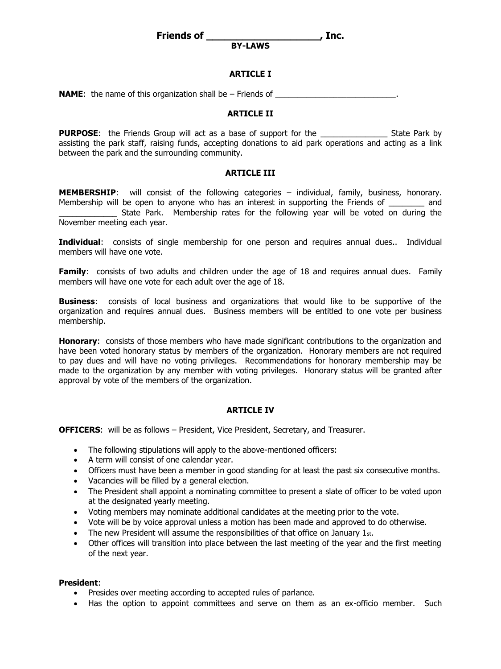**Friends of \_\_\_\_\_\_\_\_\_\_\_\_\_\_\_\_\_\_\_, Inc.**

**BY-LAWS**

## **ARTICLE I**

**NAME**: the name of this organization shall be – Friends of

## **ARTICLE II**

**PURPOSE:** the Friends Group will act as a base of support for the The State Park by assisting the park staff, raising funds, accepting donations to aid park operations and acting as a link between the park and the surrounding community.

## **ARTICLE III**

**MEMBERSHIP**: will consist of the following categories – individual, family, business, honorary. Membership will be open to anyone who has an interest in supporting the Friends of and State Park. Membership rates for the following year will be voted on during the November meeting each year.

**Individual:** consists of single membership for one person and requires annual dues.. Individual members will have one vote.

**Family:** consists of two adults and children under the age of 18 and requires annual dues. Family members will have one vote for each adult over the age of 18.

**Business**: consists of local business and organizations that would like to be supportive of the organization and requires annual dues. Business members will be entitled to one vote per business membership.

**Honorary**: consists of those members who have made significant contributions to the organization and have been voted honorary status by members of the organization. Honorary members are not required to pay dues and will have no voting privileges. Recommendations for honorary membership may be made to the organization by any member with voting privileges. Honorary status will be granted after approval by vote of the members of the organization.

### **ARTICLE IV**

**OFFICERS**: will be as follows – President, Vice President, Secretary, and Treasurer.

- The following stipulations will apply to the above-mentioned officers:
- A term will consist of one calendar year.
- Officers must have been a member in good standing for at least the past six consecutive months.
- Vacancies will be filled by a general election.
- The President shall appoint a nominating committee to present a slate of officer to be voted upon at the designated yearly meeting.
- Voting members may nominate additional candidates at the meeting prior to the vote.
- Vote will be by voice approval unless a motion has been made and approved to do otherwise.
- The new President will assume the responsibilities of that office on January 1st.
- Other offices will transition into place between the last meeting of the year and the first meeting of the next year.

### **President**:

- Presides over meeting according to accepted rules of parlance.
- Has the option to appoint committees and serve on them as an ex-officio member. Such